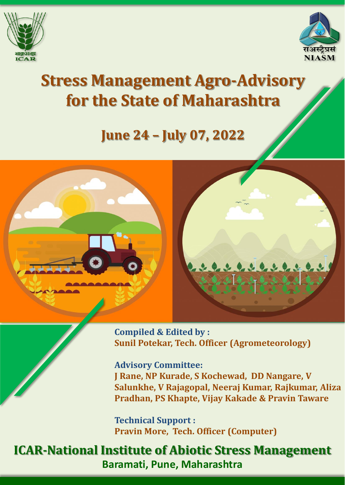



# **Stress Management Agro-Advisory for the State of Maharashtra**

## **June 24 – July 07, 2022**



**Compiled & Edited by : Sunil Potekar, Tech. Officer (Agrometeorology)**

**Advisory Committee:**

**J Rane, NP Kurade, S Kochewad, DD Nangare, V Salunkhe, V Rajagopal, Neeraj Kumar, Rajkumar, Aliza Pradhan, PS Khapte, Vijay Kakade & Pravin Taware**

**Technical Support : Pravin More, Tech. Officer (Computer)**

### **ICAR-National Institute of Abiotic Stress Management Baramati, Pune, Maharashtra**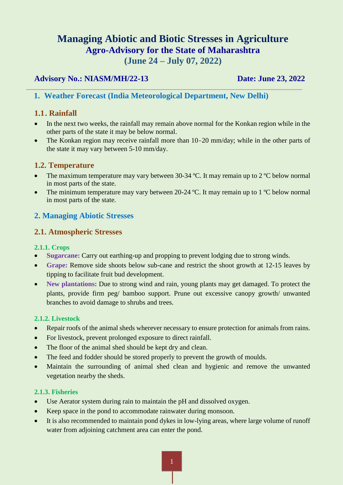#### **Managing Abiotic and Biotic Stresses in Agriculture Agro-Advisory for the State of Maharashtra (June 24 – July 07, 2022)**

#### **Advisory No.: NIASM/MH/22-13 Date: June 23, 2022**

#### **1. Weather Forecast (India Meteorological Department, New Delhi)**

#### **1.1. Rainfall**

- In the next two weeks, the rainfall may remain above normal for the Konkan region while in the other parts of the state it may be below normal.
- The Konkan region may receive rainfall more than 10–20 mm/day; while in the other parts of the state it may vary between 5-10 mm/day.

#### **1.2. Temperature**

- The maximum temperature may vary between 30-34  $^{\circ}$ C. It may remain up to 2  $^{\circ}$ C below normal in most parts of the state.
- The minimum temperature may vary between 20-24 °C. It may remain up to 1 °C below normal in most parts of the state.

#### **2. Managing Abiotic Stresses**

#### **2.1. Atmospheric Stresses**

#### **2.1.1. Crops**

- **Sugarcane:** Carry out earthing-up and propping to prevent lodging due to strong winds.
- **Grape:** Remove side shoots below sub-cane and restrict the shoot growth at 12-15 leaves by tipping to facilitate fruit bud development.
- **New plantations:** Due to strong wind and rain, young plants may get damaged. To protect the plants, provide firm peg/ bamboo support. Prune out excessive canopy growth/ unwanted branches to avoid damage to shrubs and trees.

#### **2.1.2. Livestock**

- Repair roofs of the animal sheds wherever necessary to ensure protection for animals from rains.
- For livestock, prevent prolonged exposure to direct rainfall.
- The floor of the animal shed should be kept dry and clean.
- The feed and fodder should be stored properly to prevent the growth of moulds.
- Maintain the surrounding of animal shed clean and hygienic and remove the unwanted vegetation nearby the sheds.

#### **2.1.3. Fisheries**

- Use Aerator system during rain to maintain the pH and dissolved oxygen.
- Keep space in the pond to accommodate rainwater during monsoon.
- It is also recommended to maintain pond dykes in low-lying areas, where large volume of runoff water from adjoining catchment area can enter the pond.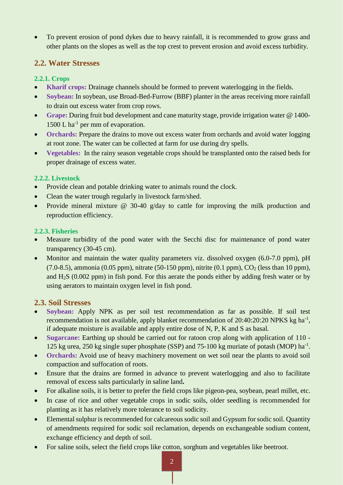To prevent erosion of pond dykes due to heavy rainfall, it is recommended to grow grass and other plants on the slopes as well as the top crest to prevent erosion and avoid excess turbidity.

#### **2.2. Water Stresses**

#### **2.2.1. Crops**

- **Kharif crops:** Drainage channels should be formed to prevent waterlogging in the fields.
- **Soybean:** In soybean, use Broad-Bed-Furrow (BBF) planter in the areas receiving more rainfall to drain out excess water from crop rows.
- **Grape:** During fruit bud development and cane maturity stage, provide irrigation water @ 1400- 1500 L ha<sup>-1</sup> per mm of evaporation.
- Orchards: Prepare the drains to move out excess water from orchards and avoid water logging at root zone. The water can be collected at farm for use during dry spells.
- **Vegetables:** In the rainy season vegetable crops should be transplanted onto the raised beds for proper drainage of excess water.

#### **2.2.2. Livestock**

- Provide clean and potable drinking water to animals round the clock.
- Clean the water trough regularly in livestock farm/shed.
- Provide mineral mixture @ 30-40 g/day to cattle for improving the milk production and reproduction efficiency.

#### **2.2.3. Fisheries**

- Measure turbidity of the pond water with the Secchi disc for maintenance of pond water transparency (30-45 cm).
- Monitor and maintain the water quality parameters viz. dissolved oxygen (6.0-7.0 ppm), pH  $(7.0-8.5)$ , ammonia (0.05 ppm), nitrate (50-150 ppm), nitrite (0.1 ppm),  $CO<sub>2</sub>$  (less than 10 ppm), and H2S (0.002 ppm) in fish pond. For this aerate the ponds either by adding fresh water or by using aerators to maintain oxygen level in fish pond.

#### **2.3. Soil Stresses**

- **Soybean:** Apply NPK as per soil test recommendation as far as possible. If soil test recommendation is not available, apply blanket recommendation of  $20:40:20:20$  NPKS kg ha<sup>-1</sup>, if adequate moisture is available and apply entire dose of N, P, K and S as basal.
- **Sugarcane:** Earthing up should be carried out for ratoon crop along with application of 110 125 kg urea, 250 kg single super phosphate (SSP) and 75-100 kg muriate of potash (MOP) ha<sup>-1</sup>.
- **Orchards:** Avoid use of heavy machinery movement on wet soil near the plants to avoid soil compaction and suffocation of roots.
- Ensure that the drains are formed in advance to prevent waterlogging and also to facilitate removal of excess salts particularly in saline land**.**
- For alkaline soils, it is better to prefer the field crops like pigeon-pea, soybean, pearl millet, etc.
- In case of rice and other vegetable crops in sodic soils, older seedling is recommended for planting as it has relatively more tolerance to soil sodicity.
- Elemental sulphur is recommended for calcareous sodic soil and Gypsum for sodic soil. Quantity of amendments required for sodic soil reclamation, depends on exchangeable sodium content, exchange efficiency and depth of soil.
- For saline soils, select the field crops like cotton, sorghum and vegetables like beetroot.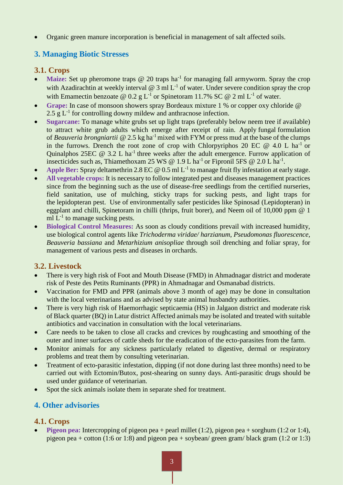Organic green manure incorporation is beneficial in management of salt affected soils.

#### **3. Managing Biotic Stresses**

#### **3.1. Crops**

- Maize: Set up pheromone traps @ 20 traps ha<sup>-1</sup> for managing fall armyworm. Spray the crop with Azadirachtin at weekly interval  $\omega$  3 ml L<sup>-1</sup> of water. Under severe condition spray the crop with Emamectin benzoate @ 0.2 g L<sup>-1</sup> or Spinetoram 11.7% SC @ 2 ml L<sup>-1</sup> of water.
- **Grape:** In case of monsoon showers spray Bordeaux mixture 1 % or copper oxy chloride @ 2.5  $g L^{-1}$  for controlling downy mildew and anthracnose infection.
- **Sugarcane:** To manage white grubs set up light traps (preferably below neem tree if available) to attract white grub adults which emerge after receipt of rain. Apply fungal formulation of *Beauveria brongniartii* @ 2.5 kg ha-1 mixed with FYM or press mud at the base of the clumps in the furrows. Drench the root zone of crop with Chlorpyriphos 20 EC  $@$  4.0 L ha<sup>-1</sup> or Quinalphos 25EC  $@ 3.2 L ha^{-1}$  three weeks after the adult emergence. Furrow application of insecticides such as, Thiamethoxam 25 WS @ 1.9 L ha<sup>-1</sup> or Fipronil 5FS @ 2.0 L ha<sup>-1</sup>.
- Apple Ber: Spray deltamethrin 2.8 EC @ 0.5 ml L<sup>-1</sup> to manage fruit fly infestation at early stage.
- **All vegetable crops:** It is necessary to follow integrated pest and diseases management practices since from the beginning such as the use of disease-free seedlings from the certified nurseries, field sanitation, use of mulching, sticky traps for sucking pests, and light traps for the lepidopteran pest. Use of environmentally safer pesticides like Spinosad (Lepidopteran) in eggplant and chilli, Spinetoram in chilli (thrips, fruit borer), and Neem oil of 10,000 ppm @ 1 ml  $L^{-1}$  to manage sucking pests.
- **Biological Control Measures:** As soon as cloudy conditions prevail with increased humidity, use biological control agents like *Trichoderma viridae/ harzianum*, *Pseudomonas fluorescence*, *Beauveria bassiana* and *Metarhizium anisopliae* through soil drenching and foliar spray, for management of various pests and diseases in orchards.

#### **3.2. Livestock**

- There is very high risk of Foot and Mouth Disease (FMD) in Ahmadnagar district and moderate risk of Peste des Petits Ruminants (PPR) in Ahmadnagar and Osmanabad districts.
- Vaccination for FMD and PPR (animals above 3 month of age) may be done in consultation with the local veterinarians and as advised by state animal husbandry authorities.
- There is very high risk of Haemorrhagic septicaemia (HS) in Jalgaon district and moderate risk of Black quarter (BQ) in Latur district Affected animals may be isolated and treated with suitable antibiotics and vaccination in consultation with the local veterinarians.
- Care needs to be taken to close all cracks and crevices by roughcasting and smoothing of the outer and inner surfaces of cattle sheds for the eradication of the ecto-parasites from the farm.
- Monitor animals for any sickness particularly related to digestive, dermal or respiratory problems and treat them by consulting veterinarian.
- Treatment of ecto-parasitic infestation, dipping (if not done during last three months) need to be carried out with Ectomin/Butox, post-shearing on sunny days. Anti-parasitic drugs should be used under guidance of veterinarian.
- Spot the sick animals isolate them in separate shed for treatment.

#### **4. Other advisories**

#### **4.1. Crops**

**Pigeon pea:** Intercropping of pigeon pea + pearl millet (1:2), pigeon pea + sorghum (1:2 or 1:4), pigeon pea + cotton (1:6 or 1:8) and pigeon pea + soybean/ green gram/ black gram (1:2 or 1:3)